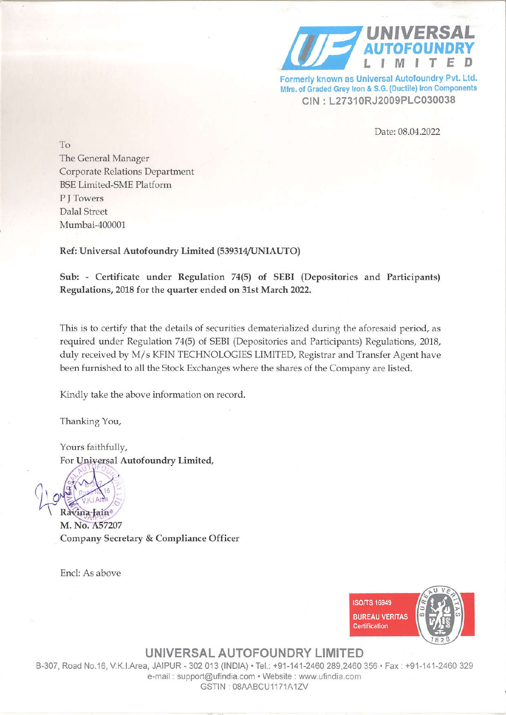

Formerly known as Universal Autofoundry Pvt. Ltd. Mfrs. of Graded Grey Iron & S.G. (Ductile) Iron Components CIN : L27310RJ2009PLC030038

Date: 08.04.2022

To The General Manager Corporate Relations Department BSE Limited-SME Plafform P I Towers Dalal Street Mumbai-400001

Ref: Universal Autofoundry Limited (539314/UNIAUTO)

Sub: - Certificate under Regulation 74(5) of SEBI (Depositories and Participants) Regulations, 2018 for the quarter ended on 31st March 2022.

This is to certify that the details of securities dematerialized during the aforesaid period, as required under Regulation 74(5) of SEBI (Depositories and Participants) Regulations, 2018, duly received by M/s KFIN TECHNOLOGIES LIMITED, Registrar and Transfer Agent have been furnished to all the Stock Exchanges where the shares of the Company are listed.

Kindly take the above information on record.

Thanking You,

For Universal Autofoundry Limited, Yours faithfully,



M. No. A57207 Company Secretary & Compliance Officer

Encl: As above



UNIVERSAL AUTOFOUNDRY LIMITED

B-307, Road No.16, V.K.I.Area, JAIPUR - 302 013 (INDIA) . Tel.: +91-141-2460 289,2460 356. Fax: +91-141-2460 329 e-mail : support@ufindia.com · Website : www.ufindia.com GSTIN : o8AABCU117141ZV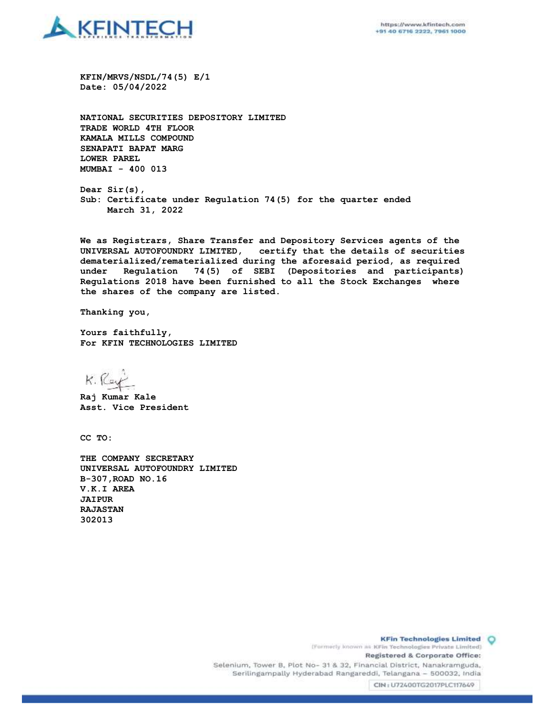

**KFIN/MRVS/NSDL/74(5) E/1 Date: 05/04/2022**

**NATIONAL SECURITIES DEPOSITORY LIMITED TRADE WORLD 4TH FLOOR KAMALA MILLS COMPOUND SENAPATI BAPAT MARG LOWER PAREL MUMBAI - 400 013**

**Dear Sir(s), Sub: Certificate under Regulation 74(5) for the quarter ended March 31, 2022**

**We as Registrars, Share Transfer and Depository Services agents of the UNIVERSAL AUTOFOUNDRY LIMITED, certify that the details of securities dematerialized/rematerialized during the aforesaid period, as required under Regulation 74(5) of SEBI (Depositories and participants) Regulations 2018 have been furnished to all the Stock Exchanges where the shares of the company are listed.** 

**Thanking you,**

**Yours faithfully, For KFIN TECHNOLOGIES LIMITED**

K. Rey

**Raj Kumar Kale Asst. Vice President**

**CC TO:**

**THE COMPANY SECRETARY UNIVERSAL AUTOFOUNDRY LIMITED B-307,ROAD NO.16 V.K.I AREA JAIPUR RAJASTAN 302013**

> **KFin Technologies Limited O** (Formerly known as KFin Technologies Private Limited) Registered & Corporate Office: Selenium, Tower B, Plot No- 31 & 32, Financial District, Nanakramguda, Serilingampally Hyderabad Rangareddi, Telangana - 500032, India CIN: U72400TG2017PLC117649